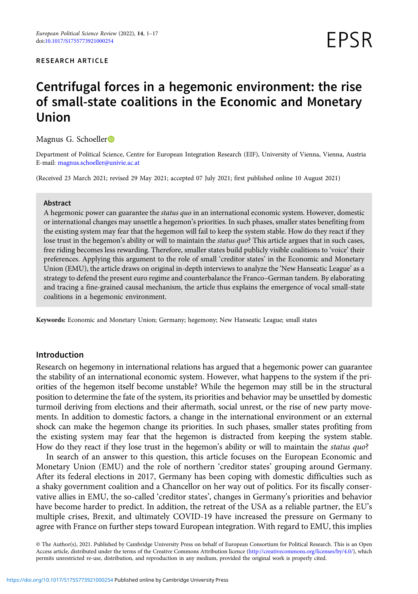#### RESEARCH ARTICLE

# Centrifugal forces in a hegemonic environment: the rise of small-state coalitions in the Economic and Monetary Union

Magnus G. Schoeller<sup>D</sup>

Department of Political Science, Centre for European Integration Research (EIF), University of Vienna, Vienna, Austria E-mail: [magnus.schoeller@univie.ac.at](mailto:magnus.schoeller@univie.ac.at)

(Received 23 March 2021; revised 29 May 2021; accepted 07 July 2021; first published online 10 August 2021)

#### Abstract

A hegemonic power can guarantee the status quo in an international economic system. However, domestic or international changes may unsettle a hegemon's priorities. In such phases, smaller states benefiting from the existing system may fear that the hegemon will fail to keep the system stable. How do they react if they lose trust in the hegemon's ability or will to maintain the *status quo*? This article argues that in such cases, free riding becomes less rewarding. Therefore, smaller states build publicly visible coalitions to 'voice' their preferences. Applying this argument to the role of small 'creditor states' in the Economic and Monetary Union (EMU), the article draws on original in-depth interviews to analyze the 'New Hanseatic League' as a strategy to defend the present euro regime and counterbalance the Franco–German tandem. By elaborating and tracing a fine-grained causal mechanism, the article thus explains the emergence of vocal small-state coalitions in a hegemonic environment.

Keywords: Economic and Monetary Union; Germany; hegemony; New Hanseatic League; small states

# Introduction

Research on hegemony in international relations has argued that a hegemonic power can guarantee the stability of an international economic system. However, what happens to the system if the priorities of the hegemon itself become unstable? While the hegemon may still be in the structural position to determine the fate of the system, its priorities and behavior may be unsettled by domestic turmoil deriving from elections and their aftermath, social unrest, or the rise of new party movements. In addition to domestic factors, a change in the international environment or an external shock can make the hegemon change its priorities. In such phases, smaller states profiting from the existing system may fear that the hegemon is distracted from keeping the system stable. How do they react if they lose trust in the hegemon's ability or will to maintain the *status quo*?

In search of an answer to this question, this article focuses on the European Economic and Monetary Union (EMU) and the role of northern 'creditor states' grouping around Germany. After its federal elections in 2017, Germany has been coping with domestic difficulties such as a shaky government coalition and a Chancellor on her way out of politics. For its fiscally conservative allies in EMU, the so-called 'creditor states', changes in Germany's priorities and behavior have become harder to predict. In addition, the retreat of the USA as a reliable partner, the EU's multiple crises, Brexit, and ultimately COVID-19 have increased the pressure on Germany to agree with France on further steps toward European integration. With regard to EMU, this implies

© The Author(s), 2021. Published by Cambridge University Press on behalf of European Consortium for Political Research. This is an Open Access article, distributed under the terms of the Creative Commons Attribution licence [\(http://creativecommons.org/licenses/by/4.0/\)](http://creativecommons.org/licenses/by/4.0/), which permits unrestricted re-use, distribution, and reproduction in any medium, provided the original work is properly cited.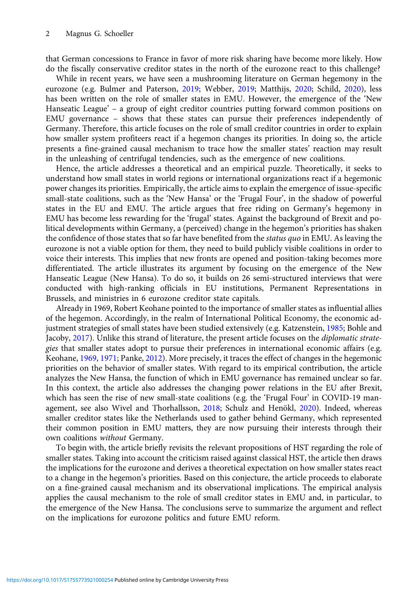that German concessions to France in favor of more risk sharing have become more likely. How do the fiscally conservative creditor states in the north of the eurozone react to this challenge?

While in recent years, we have seen a mushrooming literature on German hegemony in the eurozone (e.g. Bulmer and Paterson, [2019;](#page-14-0) Webber, [2019](#page-15-0); Matthijs, [2020;](#page-14-0) Schild, [2020](#page-15-0)), less has been written on the role of smaller states in EMU. However, the emergence of the 'New Hanseatic League' – a group of eight creditor countries putting forward common positions on EMU governance – shows that these states can pursue their preferences independently of Germany. Therefore, this article focuses on the role of small creditor countries in order to explain how smaller system profiteers react if a hegemon changes its priorities. In doing so, the article presents a fine-grained causal mechanism to trace how the smaller states' reaction may result in the unleashing of centrifugal tendencies, such as the emergence of new coalitions.

Hence, the article addresses a theoretical and an empirical puzzle. Theoretically, it seeks to understand how small states in world regions or international organizations react if a hegemonic power changes its priorities. Empirically, the article aims to explain the emergence of issue-specific small-state coalitions, such as the 'New Hansa' or the 'Frugal Four', in the shadow of powerful states in the EU and EMU. The article argues that free riding on Germany's hegemony in EMU has become less rewarding for the 'frugal' states. Against the background of Brexit and political developments within Germany, a (perceived) change in the hegemon's priorities has shaken the confidence of those states that so far have benefited from the *status quo* in EMU. As leaving the eurozone is not a viable option for them, they need to build publicly visible coalitions in order to voice their interests. This implies that new fronts are opened and position-taking becomes more differentiated. The article illustrates its argument by focusing on the emergence of the New Hanseatic League (New Hansa). To do so, it builds on 26 semi-structured interviews that were conducted with high-ranking officials in EU institutions, Permanent Representations in Brussels, and ministries in 6 eurozone creditor state capitals.

Already in 1969, Robert Keohane pointed to the importance of smaller states as influential allies of the hegemon. Accordingly, in the realm of International Political Economy, the economic adjustment strategies of small states have been studied extensively (e.g. Katzenstein, [1985](#page-14-0); Bohle and Jacoby, [2017\)](#page-14-0). Unlike this strand of literature, the present article focuses on the diplomatic strategies that smaller states adopt to pursue their preferences in international economic affairs (e.g. Keohane, [1969](#page-14-0), [1971;](#page-14-0) Panke, [2012](#page-14-0)). More precisely, it traces the effect of changes in the hegemonic priorities on the behavior of smaller states. With regard to its empirical contribution, the article analyzes the New Hansa, the function of which in EMU governance has remained unclear so far. In this context, the article also addresses the changing power relations in the EU after Brexit, which has seen the rise of new small-state coalitions (e.g. the 'Frugal Four' in COVID-19 management, see also Wivel and Thorhallsson, [2018;](#page-15-0) Schulz and Henökl, [2020](#page-15-0)). Indeed, whereas smaller creditor states like the Netherlands used to gather behind Germany, which represented their common position in EMU matters, they are now pursuing their interests through their own coalitions without Germany.

To begin with, the article briefly revisits the relevant propositions of HST regarding the role of smaller states. Taking into account the criticism raised against classical HST, the article then draws the implications for the eurozone and derives a theoretical expectation on how smaller states react to a change in the hegemon's priorities. Based on this conjecture, the article proceeds to elaborate on a fine-grained causal mechanism and its observational implications. The empirical analysis applies the causal mechanism to the role of small creditor states in EMU and, in particular, to the emergence of the New Hansa. The conclusions serve to summarize the argument and reflect on the implications for eurozone politics and future EMU reform.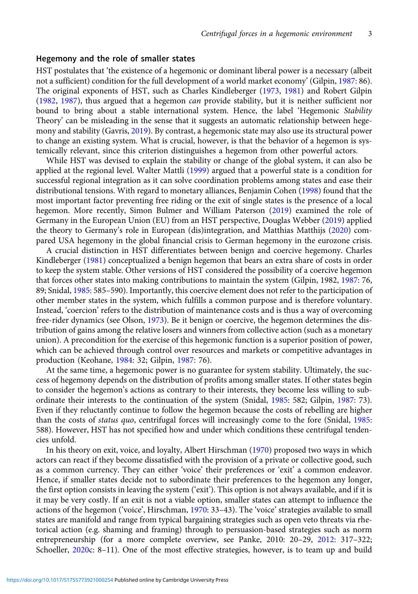# Hegemony and the role of smaller states

HST postulates that 'the existence of a hegemonic or dominant liberal power is a necessary (albeit not a sufficient) condition for the full development of a world market economy' (Gilpin, [1987](#page-14-0): 86). The original exponents of HST, such as Charles Kindleberger ([1973](#page-14-0), [1981](#page-14-0)) and Robert Gilpin [\(1982,](#page-14-0) [1987](#page-14-0)), thus argued that a hegemon can provide stability, but it is neither sufficient nor bound to bring about a stable international system. Hence, the label 'Hegemonic Stability Theory' can be misleading in the sense that it suggests an automatic relationship between hegemony and stability (Gavris, [2019\)](#page-14-0). By contrast, a hegemonic state may also use its structural power to change an existing system. What is crucial, however, is that the behavior of a hegemon is systemically relevant, since this criterion distinguishes a hegemon from other powerful actors.

While HST was devised to explain the stability or change of the global system, it can also be applied at the regional level. Walter Mattli ([1999](#page-14-0)) argued that a powerful state is a condition for successful regional integration as it can solve coordination problems among states and ease their distributional tensions. With regard to monetary alliances, Benjamin Cohen ([1998\)](#page-14-0) found that the most important factor preventing free riding or the exit of single states is the presence of a local hegemon. More recently, Simon Bulmer and William Paterson [\(2019\)](#page-14-0) examined the role of Germany in the European Union (EU) from an HST perspective, Douglas Webber ([2019](#page-15-0)) applied the theory to Germany's role in European (dis)integration, and Matthias Matthijs [\(2020\)](#page-14-0) compared USA hegemony in the global financial crisis to German hegemony in the eurozone crisis.

A crucial distinction in HST differentiates between benign and coercive hegemony. Charles Kindleberger ([1981](#page-14-0)) conceptualized a benign hegemon that bears an extra share of costs in order to keep the system stable. Other versions of HST considered the possibility of a coercive hegemon that forces other states into making contributions to maintain the system (Gilpin, 1982, [1987](#page-14-0): 76, 89; Snidal, [1985](#page-15-0): 585–590). Importantly, this coercive element does not refer to the participation of other member states in the system, which fulfills a common purpose and is therefore voluntary. Instead, 'coercion' refers to the distribution of maintenance costs and is thus a way of overcoming free-rider dynamics (see Olson, [1973\)](#page-14-0). Be it benign or coercive, the hegemon determines the distribution of gains among the relative losers and winners from collective action (such as a monetary union). A precondition for the exercise of this hegemonic function is a superior position of power, which can be achieved through control over resources and markets or competitive advantages in production (Keohane, [1984](#page-14-0): 32; Gilpin, [1987:](#page-14-0) 76).

At the same time, a hegemonic power is no guarantee for system stability. Ultimately, the success of hegemony depends on the distribution of profits among smaller states. If other states begin to consider the hegemon's actions as contrary to their interests, they become less willing to subordinate their interests to the continuation of the system (Snidal, [1985:](#page-15-0) 582; Gilpin, [1987:](#page-14-0) 73). Even if they reluctantly continue to follow the hegemon because the costs of rebelling are higher than the costs of status quo, centrifugal forces will increasingly come to the fore (Snidal, [1985:](#page-15-0) 588). However, HST has not specified how and under which conditions these centrifugal tendencies unfold.

In his theory on exit, voice, and loyalty, Albert Hirschman ([1970](#page-14-0)) proposed two ways in which actors can react if they become dissatisfied with the provision of a private or collective good, such as a common currency. They can either 'voice' their preferences or 'exit' a common endeavor. Hence, if smaller states decide not to subordinate their preferences to the hegemon any longer, the first option consists in leaving the system ('exit'). This option is not always available, and if it is it may be very costly. If an exit is not a viable option, smaller states can attempt to influence the actions of the hegemon ('voice', Hirschman, [1970](#page-14-0): 33–43). The 'voice' strategies available to small states are manifold and range from typical bargaining strategies such as open veto threats via rhetorical action (e.g. shaming and framing) through to persuasion-based strategies such as norm entrepreneurship (for a more complete overview, see Panke, 2010: 20–29, [2012](#page-14-0): 317–322; Schoeller, [2020](#page-15-0)c: 8–11). One of the most effective strategies, however, is to team up and build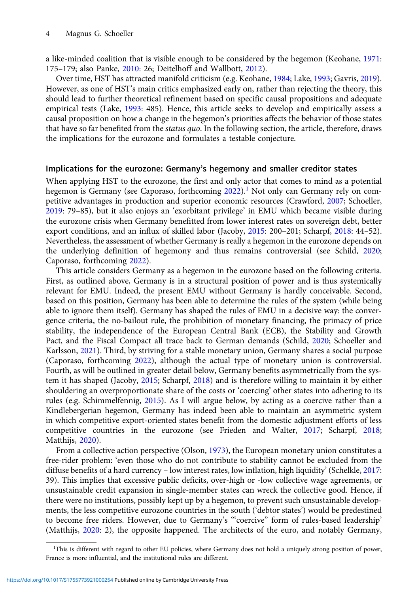a like-minded coalition that is visible enough to be considered by the hegemon (Keohane, [1971](#page-14-0): 175–179; also Panke, [2010](#page-14-0): 26; Deitelhoff and Wallbott, [2012](#page-14-0)).

Over time, HST has attracted manifold criticism (e.g. Keohane, [1984](#page-14-0); Lake, [1993;](#page-14-0) Gavris, [2019\)](#page-14-0). However, as one of HST's main critics emphasized early on, rather than rejecting the theory, this should lead to further theoretical refinement based on specific causal propositions and adequate empirical tests (Lake, [1993:](#page-14-0) 485). Hence, this article seeks to develop and empirically assess a causal proposition on how a change in the hegemon's priorities affects the behavior of those states that have so far benefited from the *status quo*. In the following section, the article, therefore, draws the implications for the eurozone and formulates a testable conjecture.

# Implications for the eurozone: Germany's hegemony and smaller creditor states

When applying HST to the eurozone, the first and only actor that comes to mind as a potential hegemon is Germany (see Caporaso, forthcoming  $2022$ ).<sup>1</sup> Not only can Germany rely on competitive advantages in production and superior economic resources (Crawford, [2007;](#page-14-0) Schoeller, [2019:](#page-15-0) 79–85), but it also enjoys an 'exorbitant privilege' in EMU which became visible during the eurozone crisis when Germany benefitted from lower interest rates on sovereign debt, better export conditions, and an influx of skilled labor (Jacoby, [2015](#page-14-0): 200–201; Scharpf, [2018:](#page-15-0) 44–52). Nevertheless, the assessment of whether Germany is really a hegemon in the eurozone depends on the underlying definition of hegemony and thus remains controversial (see Schild, [2020](#page-15-0); Caporaso, forthcoming [2022\)](#page-14-0).

This article considers Germany as a hegemon in the eurozone based on the following criteria. First, as outlined above, Germany is in a structural position of power and is thus systemically relevant for EMU. Indeed, the present EMU without Germany is hardly conceivable. Second, based on this position, Germany has been able to determine the rules of the system (while being able to ignore them itself). Germany has shaped the rules of EMU in a decisive way: the convergence criteria, the no-bailout rule, the prohibition of monetary financing, the primacy of price stability, the independence of the European Central Bank (ECB), the Stability and Growth Pact, and the Fiscal Compact all trace back to German demands (Schild, [2020](#page-15-0); Schoeller and Karlsson, [2021](#page-15-0)). Third, by striving for a stable monetary union, Germany shares a social purpose (Caporaso, forthcoming [2022\)](#page-14-0), although the actual type of monetary union is controversial. Fourth, as will be outlined in greater detail below, Germany benefits asymmetrically from the system it has shaped (Jacoby, [2015](#page-14-0); Scharpf, [2018\)](#page-15-0) and is therefore willing to maintain it by either shouldering an overproportionate share of the costs or 'coercing' other states into adhering to its rules (e.g. Schimmelfennig, [2015](#page-15-0)). As I will argue below, by acting as a coercive rather than a Kindlebergerian hegemon, Germany has indeed been able to maintain an asymmetric system in which competitive export-oriented states benefit from the domestic adjustment efforts of less competitive countries in the eurozone (see Frieden and Walter, [2017](#page-14-0); Scharpf, [2018](#page-15-0); Matthijs, [2020](#page-14-0)).

From a collective action perspective (Olson, [1973](#page-14-0)), the European monetary union constitutes a free-rider problem: 'even those who do not contribute to stability cannot be excluded from the diffuse benefits of a hard currency – low interest rates, low inflation, high liquidity' (Schelkle, [2017](#page-15-0): 39). This implies that excessive public deficits, over-high or -low collective wage agreements, or unsustainable credit expansion in single-member states can wreck the collective good. Hence, if there were no institutions, possibly kept up by a hegemon, to prevent such unsustainable developments, the less competitive eurozone countries in the south ('debtor states') would be predestined to become free riders. However, due to Germany's '"coercive" form of rules-based leadership' (Matthijs, [2020:](#page-14-0) 2), the opposite happened. The architects of the euro, and notably Germany,

<sup>&</sup>lt;sup>1</sup>This is different with regard to other EU policies, where Germany does not hold a uniquely strong position of power, France is more influential, and the institutional rules are different.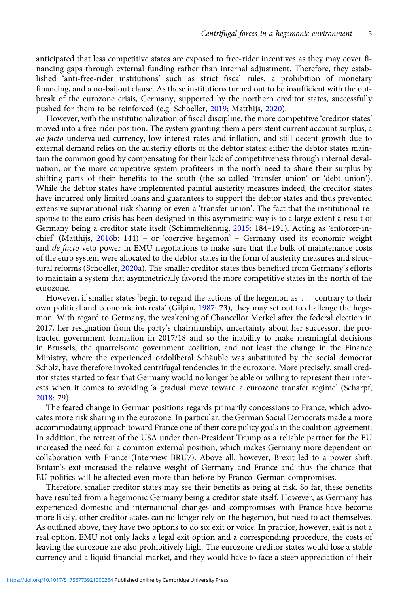anticipated that less competitive states are exposed to free-rider incentives as they may cover financing gaps through external funding rather than internal adjustment. Therefore, they established 'anti-free-rider institutions' such as strict fiscal rules, a prohibition of monetary financing, and a no-bailout clause. As these institutions turned out to be insufficient with the outbreak of the eurozone crisis, Germany, supported by the northern creditor states, successfully pushed for them to be reinforced (e.g. Schoeller, [2019;](#page-15-0) Matthijs, [2020\)](#page-14-0).

However, with the institutionalization of fiscal discipline, the more competitive 'creditor states' moved into a free-rider position. The system granting them a persistent current account surplus, a de facto undervalued currency, low interest rates and inflation, and still decent growth due to external demand relies on the austerity efforts of the debtor states: either the debtor states maintain the common good by compensating for their lack of competitiveness through internal devaluation, or the more competitive system profiteers in the north need to share their surplus by shifting parts of their benefits to the south (the so-called 'transfer union' or 'debt union'). While the debtor states have implemented painful austerity measures indeed, the creditor states have incurred only limited loans and guarantees to support the debtor states and thus prevented extensive supranational risk sharing or even a 'transfer union'. The fact that the institutional response to the euro crisis has been designed in this asymmetric way is to a large extent a result of Germany being a creditor state itself (Schimmelfennig, [2015:](#page-15-0) 184–191). Acting as 'enforcer-inchief' (Matthijs, [2016](#page-14-0)b: 144) – or 'coercive hegemon' – Germany used its economic weight and *de facto* veto power in EMU negotiations to make sure that the bulk of maintenance costs of the euro system were allocated to the debtor states in the form of austerity measures and structural reforms (Schoeller, [2020a](#page-15-0)). The smaller creditor states thus benefited from Germany's efforts to maintain a system that asymmetrically favored the more competitive states in the north of the eurozone.

However, if smaller states 'begin to regard the actions of the hegemon as ::: contrary to their own political and economic interests' (Gilpin, [1987:](#page-14-0) 73), they may set out to challenge the hegemon. With regard to Germany, the weakening of Chancellor Merkel after the federal election in 2017, her resignation from the party's chairmanship, uncertainty about her successor, the protracted government formation in 2017/18 and so the inability to make meaningful decisions in Brussels, the quarrelsome government coalition, and not least the change in the Finance Ministry, where the experienced ordoliberal Schäuble was substituted by the social democrat Scholz, have therefore invoked centrifugal tendencies in the eurozone. More precisely, small creditor states started to fear that Germany would no longer be able or willing to represent their interests when it comes to avoiding 'a gradual move toward a eurozone transfer regime' (Scharpf, [2018](#page-15-0): 79).

The feared change in German positions regards primarily concessions to France, which advocates more risk sharing in the eurozone. In particular, the German Social Democrats made a more accommodating approach toward France one of their core policy goals in the coalition agreement. In addition, the retreat of the USA under then-President Trump as a reliable partner for the EU increased the need for a common external position, which makes Germany more dependent on collaboration with France (Interview BRU7). Above all, however, Brexit led to a power shift: Britain's exit increased the relative weight of Germany and France and thus the chance that EU politics will be affected even more than before by Franco–German compromises.

Therefore, smaller creditor states may see their benefits as being at risk. So far, these benefits have resulted from a hegemonic Germany being a creditor state itself. However, as Germany has experienced domestic and international changes and compromises with France have become more likely, other creditor states can no longer rely on the hegemon, but need to act themselves. As outlined above, they have two options to do so: exit or voice. In practice, however, exit is not a real option. EMU not only lacks a legal exit option and a corresponding procedure, the costs of leaving the eurozone are also prohibitively high. The eurozone creditor states would lose a stable currency and a liquid financial market, and they would have to face a steep appreciation of their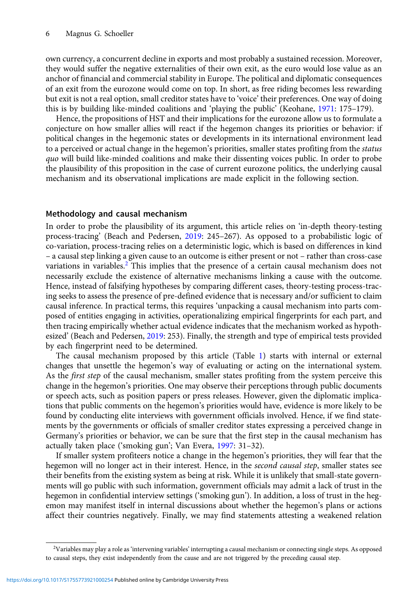own currency, a concurrent decline in exports and most probably a sustained recession. Moreover, they would suffer the negative externalities of their own exit, as the euro would lose value as an anchor of financial and commercial stability in Europe. The political and diplomatic consequences of an exit from the eurozone would come on top. In short, as free riding becomes less rewarding but exit is not a real option, small creditor states have to 'voice' their preferences. One way of doing this is by building like-minded coalitions and 'playing the public' (Keohane, [1971:](#page-14-0) 175–179).

Hence, the propositions of HST and their implications for the eurozone allow us to formulate a conjecture on how smaller allies will react if the hegemon changes its priorities or behavior: if political changes in the hegemonic states or developments in its international environment lead to a perceived or actual change in the hegemon's priorities, smaller states profiting from the *status* quo will build like-minded coalitions and make their dissenting voices public. In order to probe the plausibility of this proposition in the case of current eurozone politics, the underlying causal mechanism and its observational implications are made explicit in the following section.

# Methodology and causal mechanism

In order to probe the plausibility of its argument, this article relies on 'in-depth theory-testing process-tracing' (Beach and Pedersen, [2019:](#page-14-0) 245–267). As opposed to a probabilistic logic of co-variation, process-tracing relies on a deterministic logic, which is based on differences in kind – a causal step linking a given cause to an outcome is either present or not – rather than cross-case variations in variables.<sup>2</sup> This implies that the presence of a certain causal mechanism does not necessarily exclude the existence of alternative mechanisms linking a cause with the outcome. Hence, instead of falsifying hypotheses by comparing different cases, theory-testing process-tracing seeks to assess the presence of pre-defined evidence that is necessary and/or sufficient to claim causal inference. In practical terms, this requires 'unpacking a causal mechanism into parts composed of entities engaging in activities, operationalizing empirical fingerprints for each part, and then tracing empirically whether actual evidence indicates that the mechanism worked as hypothesized' (Beach and Pedersen, [2019:](#page-14-0) 253). Finally, the strength and type of empirical tests provided by each fingerprint need to be determined.

The causal mechanism proposed by this article (Table [1](#page-6-0)) starts with internal or external changes that unsettle the hegemon's way of evaluating or acting on the international system. As the *first step* of the causal mechanism, smaller states profiting from the system perceive this change in the hegemon's priorities. One may observe their perceptions through public documents or speech acts, such as position papers or press releases. However, given the diplomatic implications that public comments on the hegemon's priorities would have, evidence is more likely to be found by conducting elite interviews with government officials involved. Hence, if we find statements by the governments or officials of smaller creditor states expressing a perceived change in Germany's priorities or behavior, we can be sure that the first step in the causal mechanism has actually taken place ('smoking gun'; Van Evera, [1997:](#page-15-0) 31–32).

If smaller system profiteers notice a change in the hegemon's priorities, they will fear that the hegemon will no longer act in their interest. Hence, in the second causal step, smaller states see their benefits from the existing system as being at risk. While it is unlikely that small-state governments will go public with such information, government officials may admit a lack of trust in the hegemon in confidential interview settings ('smoking gun'). In addition, a loss of trust in the hegemon may manifest itself in internal discussions about whether the hegemon's plans or actions affect their countries negatively. Finally, we may find statements attesting a weakened relation

<sup>2</sup> Variables may play a role as 'intervening variables' interrupting a causal mechanism or connecting single steps. As opposed to causal steps, they exist independently from the cause and are not triggered by the preceding causal step.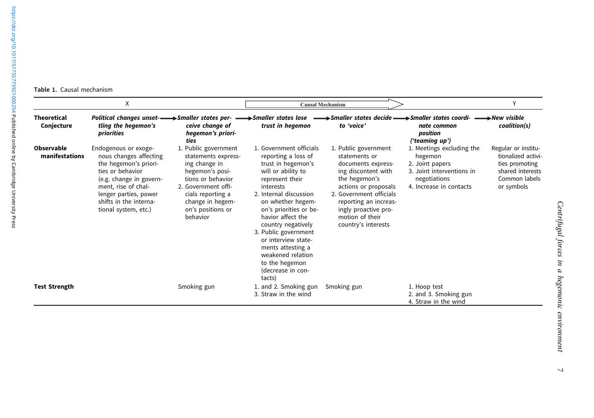<span id="page-6-0"></span>Table 1. Causal mechanism

| X                                |                                                                                                                                                                                                                          |                                                                                                                                                                                                       | <b>Causal Mechanism</b>                                                                                                                                                                                                                                                                                                                                                                  |                                                                                                                                                                                                                                                   |                                                                                                                                 | V                                                                                                              |
|----------------------------------|--------------------------------------------------------------------------------------------------------------------------------------------------------------------------------------------------------------------------|-------------------------------------------------------------------------------------------------------------------------------------------------------------------------------------------------------|------------------------------------------------------------------------------------------------------------------------------------------------------------------------------------------------------------------------------------------------------------------------------------------------------------------------------------------------------------------------------------------|---------------------------------------------------------------------------------------------------------------------------------------------------------------------------------------------------------------------------------------------------|---------------------------------------------------------------------------------------------------------------------------------|----------------------------------------------------------------------------------------------------------------|
| <b>Theoretical</b><br>Conjecture | tling the hegemon's<br>priorities                                                                                                                                                                                        | Political changes unset- ightarrow Smaller states per- $\longrightarrow$ Smaller states lose<br>ceive change of<br>hegemon's priori-<br>ties                                                          | trust in hegemon                                                                                                                                                                                                                                                                                                                                                                         | Smaller states decide - Smaller states coordi-<br>to 'voice'                                                                                                                                                                                      | nate common<br>position<br>('teaming up')                                                                                       | →New visible<br>coalition(s)                                                                                   |
| Observable<br>manifestations     | Endogenous or exoge-<br>nous changes affecting<br>the hegemon's priori-<br>ties or behavior<br>(e.g. change in govern-<br>ment, rise of chal-<br>lenger parties, power<br>shifts in the interna-<br>tional system, etc.) | 1. Public government<br>statements express-<br>ing change in<br>hegemon's posi-<br>tions or behavior<br>2. Government offi-<br>cials reporting a<br>change in hegem-<br>on's positions or<br>behavior | 1. Government officials<br>reporting a loss of<br>trust in hegemon's<br>will or ability to<br>represent their<br>interests<br>2. Internal discussion<br>on whether hegem-<br>on's priorities or be-<br>havior affect the<br>country negatively<br>3. Public government<br>or interview state-<br>ments attesting a<br>weakened relation<br>to the hegemon<br>(decrease in con-<br>tacts) | 1. Public government<br>statements or<br>documents express-<br>ing discontent with<br>the hegemon's<br>actions or proposals<br>2. Government officials<br>reporting an increas-<br>ingly proactive pro-<br>motion of their<br>country's interests | 1. Meetings excluding the<br>hegemon<br>2. Joint papers<br>3. Joint interventions in<br>negotiations<br>4. Increase in contacts | Regular or institu-<br>tionalized activi-<br>ties promoting<br>shared interests<br>Common labels<br>or symbols |
| <b>Test Strength</b>             |                                                                                                                                                                                                                          | Smoking gun                                                                                                                                                                                           | 1. and 2. Smoking gun<br>3. Straw in the wind                                                                                                                                                                                                                                                                                                                                            | Smoking gun                                                                                                                                                                                                                                       | 1. Hoop test<br>2. and 3. Smoking gun<br>4. Straw in the wind                                                                   |                                                                                                                |

 $\overline{a}$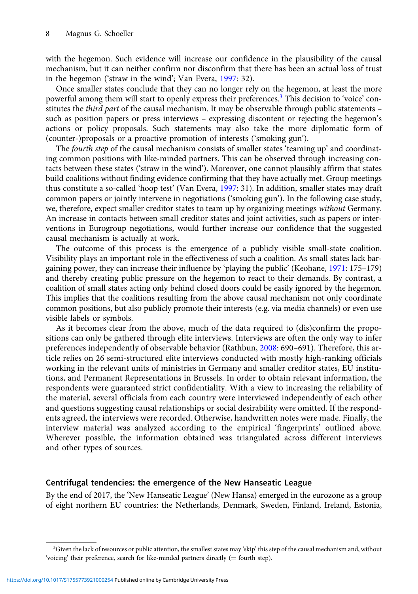with the hegemon. Such evidence will increase our confidence in the plausibility of the causal mechanism, but it can neither confirm nor disconfirm that there has been an actual loss of trust in the hegemon ('straw in the wind'; Van Evera, [1997](#page-15-0): 32).

Once smaller states conclude that they can no longer rely on the hegemon, at least the more powerful among them will start to openly express their preferences.<sup>3</sup> This decision to 'voice' constitutes the *third part* of the causal mechanism. It may be observable through public statements – such as position papers or press interviews – expressing discontent or rejecting the hegemon's actions or policy proposals. Such statements may also take the more diplomatic form of (counter-)proposals or a proactive promotion of interests ('smoking gun').

The *fourth step* of the causal mechanism consists of smaller states 'teaming up' and coordinating common positions with like-minded partners. This can be observed through increasing contacts between these states ('straw in the wind'). Moreover, one cannot plausibly affirm that states build coalitions without finding evidence confirming that they have actually met. Group meetings thus constitute a so-called 'hoop test' (Van Evera, [1997](#page-15-0): 31). In addition, smaller states may draft common papers or jointly intervene in negotiations ('smoking gun'). In the following case study, we, therefore, expect smaller creditor states to team up by organizing meetings without Germany. An increase in contacts between small creditor states and joint activities, such as papers or interventions in Eurogroup negotiations, would further increase our confidence that the suggested causal mechanism is actually at work.

The outcome of this process is the emergence of a publicly visible small-state coalition. Visibility plays an important role in the effectiveness of such a coalition. As small states lack bargaining power, they can increase their influence by 'playing the public' (Keohane, [1971:](#page-14-0) 175–179) and thereby creating public pressure on the hegemon to react to their demands. By contrast, a coalition of small states acting only behind closed doors could be easily ignored by the hegemon. This implies that the coalitions resulting from the above causal mechanism not only coordinate common positions, but also publicly promote their interests (e.g. via media channels) or even use visible labels or symbols.

As it becomes clear from the above, much of the data required to (dis)confirm the propositions can only be gathered through elite interviews. Interviews are often the only way to infer preferences independently of observable behavior (Rathbun, [2008:](#page-15-0) 690–691). Therefore, this article relies on 26 semi-structured elite interviews conducted with mostly high-ranking officials working in the relevant units of ministries in Germany and smaller creditor states, EU institutions, and Permanent Representations in Brussels. In order to obtain relevant information, the respondents were guaranteed strict confidentiality. With a view to increasing the reliability of the material, several officials from each country were interviewed independently of each other and questions suggesting causal relationships or social desirability were omitted. If the respondents agreed, the interviews were recorded. Otherwise, handwritten notes were made. Finally, the interview material was analyzed according to the empirical 'fingerprints' outlined above. Wherever possible, the information obtained was triangulated across different interviews and other types of sources.

# Centrifugal tendencies: the emergence of the New Hanseatic League

By the end of 2017, the 'New Hanseatic League' (New Hansa) emerged in the eurozone as a group of eight northern EU countries: the Netherlands, Denmark, Sweden, Finland, Ireland, Estonia,

<sup>&</sup>lt;sup>3</sup>Given the lack of resources or public attention, the smallest states may 'skip' this step of the causal mechanism and, without 'voicing' their preference, search for like-minded partners directly (= fourth step).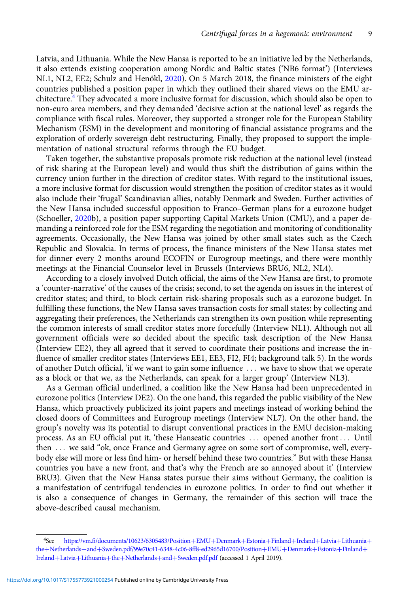Latvia, and Lithuania. While the New Hansa is reported to be an initiative led by the Netherlands, it also extends existing cooperation among Nordic and Baltic states ('NB6 format') (Interviews NL1, NL2, EE2; Schulz and Henökl, [2020](#page-15-0)). On 5 March 2018, the finance ministers of the eight countries published a position paper in which they outlined their shared views on the EMU architecture.<sup>4</sup> They advocated a more inclusive format for discussion, which should also be open to non-euro area members, and they demanded 'decisive action at the national level' as regards the compliance with fiscal rules. Moreover, they supported a stronger role for the European Stability Mechanism (ESM) in the development and monitoring of financial assistance programs and the exploration of orderly sovereign debt restructuring. Finally, they proposed to support the implementation of national structural reforms through the EU budget.

Taken together, the substantive proposals promote risk reduction at the national level (instead of risk sharing at the European level) and would thus shift the distribution of gains within the currency union further in the direction of creditor states. With regard to the institutional issues, a more inclusive format for discussion would strengthen the position of creditor states as it would also include their 'frugal' Scandinavian allies, notably Denmark and Sweden. Further activities of the New Hansa included successful opposition to Franco–German plans for a eurozone budget (Schoeller, [2020](#page-15-0)b), a position paper supporting Capital Markets Union (CMU), and a paper demanding a reinforced role for the ESM regarding the negotiation and monitoring of conditionality agreements. Occasionally, the New Hansa was joined by other small states such as the Czech Republic and Slovakia. In terms of process, the finance ministers of the New Hansa states met for dinner every 2 months around ECOFIN or Eurogroup meetings, and there were monthly meetings at the Financial Counselor level in Brussels (Interviews BRU6, NL2, NL4).

According to a closely involved Dutch official, the aims of the New Hansa are first, to promote a 'counter-narrative' of the causes of the crisis; second, to set the agenda on issues in the interest of creditor states; and third, to block certain risk-sharing proposals such as a eurozone budget. In fulfilling these functions, the New Hansa saves transaction costs for small states: by collecting and aggregating their preferences, the Netherlands can strengthen its own position while representing the common interests of small creditor states more forcefully (Interview NL1). Although not all government officials were so decided about the specific task description of the New Hansa (Interview EE2), they all agreed that it served to coordinate their positions and increase the influence of smaller creditor states (Interviews EE1, EE3, FI2, FI4; background talk 5). In the words of another Dutch official, 'if we want to gain some influence ::: we have to show that we operate as a block or that we, as the Netherlands, can speak for a larger group' (Interview NL3).

As a German official underlined, a coalition like the New Hansa had been unprecedented in eurozone politics (Interview DE2). On the one hand, this regarded the public visibility of the New Hansa, which proactively publicized its joint papers and meetings instead of working behind the closed doors of Committees and Eurogroup meetings (Interview NL7). On the other hand, the group's novelty was its potential to disrupt conventional practices in the EMU decision-making process. As an EU official put it, 'these Hanseatic countries ::: opened another front ::: Until then ... we said "ok, once France and Germany agree on some sort of compromise, well, everybody else will more or less find him- or herself behind these two countries." But with these Hansa countries you have a new front, and that's why the French are so annoyed about it' (Interview BRU3). Given that the New Hansa states pursue their aims without Germany, the coalition is a manifestation of centrifugal tendencies in eurozone politics. In order to find out whether it is also a consequence of changes in Germany, the remainder of this section will trace the above-described causal mechanism.

<sup>&</sup>lt;sup>4</sup>See [https://vm.fi/documents/10623/6305483/Position](https://vm.fi/documents/10623/6305483/Position+EMU+Denmark+Estonia+Finland+Ireland+Latvia+Lithuania+the+Netherlands+and+Sweden.pdf/99e70c41-6348-4c06-8ff8-ed2965d16700/Position+EMU+Denmark+Estonia+Finland+Ireland+Latvia+Lithuania+the+Netherlands+and+Sweden.pdf.pdf)+[EMU](https://vm.fi/documents/10623/6305483/Position+EMU+Denmark+Estonia+Finland+Ireland+Latvia+Lithuania+the+Netherlands+and+Sweden.pdf/99e70c41-6348-4c06-8ff8-ed2965d16700/Position+EMU+Denmark+Estonia+Finland+Ireland+Latvia+Lithuania+the+Netherlands+and+Sweden.pdf.pdf)+[Denmark](https://vm.fi/documents/10623/6305483/Position+EMU+Denmark+Estonia+Finland+Ireland+Latvia+Lithuania+the+Netherlands+and+Sweden.pdf/99e70c41-6348-4c06-8ff8-ed2965d16700/Position+EMU+Denmark+Estonia+Finland+Ireland+Latvia+Lithuania+the+Netherlands+and+Sweden.pdf.pdf)+[Estonia](https://vm.fi/documents/10623/6305483/Position+EMU+Denmark+Estonia+Finland+Ireland+Latvia+Lithuania+the+Netherlands+and+Sweden.pdf/99e70c41-6348-4c06-8ff8-ed2965d16700/Position+EMU+Denmark+Estonia+Finland+Ireland+Latvia+Lithuania+the+Netherlands+and+Sweden.pdf.pdf)+[Finland](https://vm.fi/documents/10623/6305483/Position+EMU+Denmark+Estonia+Finland+Ireland+Latvia+Lithuania+the+Netherlands+and+Sweden.pdf/99e70c41-6348-4c06-8ff8-ed2965d16700/Position+EMU+Denmark+Estonia+Finland+Ireland+Latvia+Lithuania+the+Netherlands+and+Sweden.pdf.pdf)+[Ireland](https://vm.fi/documents/10623/6305483/Position+EMU+Denmark+Estonia+Finland+Ireland+Latvia+Lithuania+the+Netherlands+and+Sweden.pdf/99e70c41-6348-4c06-8ff8-ed2965d16700/Position+EMU+Denmark+Estonia+Finland+Ireland+Latvia+Lithuania+the+Netherlands+and+Sweden.pdf.pdf)+[Latvia](https://vm.fi/documents/10623/6305483/Position+EMU+Denmark+Estonia+Finland+Ireland+Latvia+Lithuania+the+Netherlands+and+Sweden.pdf/99e70c41-6348-4c06-8ff8-ed2965d16700/Position+EMU+Denmark+Estonia+Finland+Ireland+Latvia+Lithuania+the+Netherlands+and+Sweden.pdf.pdf)+[Lithuania](https://vm.fi/documents/10623/6305483/Position+EMU+Denmark+Estonia+Finland+Ireland+Latvia+Lithuania+the+Netherlands+and+Sweden.pdf/99e70c41-6348-4c06-8ff8-ed2965d16700/Position+EMU+Denmark+Estonia+Finland+Ireland+Latvia+Lithuania+the+Netherlands+and+Sweden.pdf.pdf)+ [the](https://vm.fi/documents/10623/6305483/Position+EMU+Denmark+Estonia+Finland+Ireland+Latvia+Lithuania+the+Netherlands+and+Sweden.pdf/99e70c41-6348-4c06-8ff8-ed2965d16700/Position+EMU+Denmark+Estonia+Finland+Ireland+Latvia+Lithuania+the+Netherlands+and+Sweden.pdf.pdf)+[Netherlands](https://vm.fi/documents/10623/6305483/Position+EMU+Denmark+Estonia+Finland+Ireland+Latvia+Lithuania+the+Netherlands+and+Sweden.pdf/99e70c41-6348-4c06-8ff8-ed2965d16700/Position+EMU+Denmark+Estonia+Finland+Ireland+Latvia+Lithuania+the+Netherlands+and+Sweden.pdf.pdf)+[and](https://vm.fi/documents/10623/6305483/Position+EMU+Denmark+Estonia+Finland+Ireland+Latvia+Lithuania+the+Netherlands+and+Sweden.pdf/99e70c41-6348-4c06-8ff8-ed2965d16700/Position+EMU+Denmark+Estonia+Finland+Ireland+Latvia+Lithuania+the+Netherlands+and+Sweden.pdf.pdf)+[Sweden.pdf/99e70c41-6348-4c06-8ff8-ed2965d16700/Position](https://vm.fi/documents/10623/6305483/Position+EMU+Denmark+Estonia+Finland+Ireland+Latvia+Lithuania+the+Netherlands+and+Sweden.pdf/99e70c41-6348-4c06-8ff8-ed2965d16700/Position+EMU+Denmark+Estonia+Finland+Ireland+Latvia+Lithuania+the+Netherlands+and+Sweden.pdf.pdf)+[EMU](https://vm.fi/documents/10623/6305483/Position+EMU+Denmark+Estonia+Finland+Ireland+Latvia+Lithuania+the+Netherlands+and+Sweden.pdf/99e70c41-6348-4c06-8ff8-ed2965d16700/Position+EMU+Denmark+Estonia+Finland+Ireland+Latvia+Lithuania+the+Netherlands+and+Sweden.pdf.pdf)+[Denmark](https://vm.fi/documents/10623/6305483/Position+EMU+Denmark+Estonia+Finland+Ireland+Latvia+Lithuania+the+Netherlands+and+Sweden.pdf/99e70c41-6348-4c06-8ff8-ed2965d16700/Position+EMU+Denmark+Estonia+Finland+Ireland+Latvia+Lithuania+the+Netherlands+and+Sweden.pdf.pdf)+[Estonia](https://vm.fi/documents/10623/6305483/Position+EMU+Denmark+Estonia+Finland+Ireland+Latvia+Lithuania+the+Netherlands+and+Sweden.pdf/99e70c41-6348-4c06-8ff8-ed2965d16700/Position+EMU+Denmark+Estonia+Finland+Ireland+Latvia+Lithuania+the+Netherlands+and+Sweden.pdf.pdf)+[Finland](https://vm.fi/documents/10623/6305483/Position+EMU+Denmark+Estonia+Finland+Ireland+Latvia+Lithuania+the+Netherlands+and+Sweden.pdf/99e70c41-6348-4c06-8ff8-ed2965d16700/Position+EMU+Denmark+Estonia+Finland+Ireland+Latvia+Lithuania+the+Netherlands+and+Sweden.pdf.pdf)+ [Ireland](https://vm.fi/documents/10623/6305483/Position+EMU+Denmark+Estonia+Finland+Ireland+Latvia+Lithuania+the+Netherlands+and+Sweden.pdf/99e70c41-6348-4c06-8ff8-ed2965d16700/Position+EMU+Denmark+Estonia+Finland+Ireland+Latvia+Lithuania+the+Netherlands+and+Sweden.pdf.pdf)+[Latvia](https://vm.fi/documents/10623/6305483/Position+EMU+Denmark+Estonia+Finland+Ireland+Latvia+Lithuania+the+Netherlands+and+Sweden.pdf/99e70c41-6348-4c06-8ff8-ed2965d16700/Position+EMU+Denmark+Estonia+Finland+Ireland+Latvia+Lithuania+the+Netherlands+and+Sweden.pdf.pdf)+[Lithuania](https://vm.fi/documents/10623/6305483/Position+EMU+Denmark+Estonia+Finland+Ireland+Latvia+Lithuania+the+Netherlands+and+Sweden.pdf/99e70c41-6348-4c06-8ff8-ed2965d16700/Position+EMU+Denmark+Estonia+Finland+Ireland+Latvia+Lithuania+the+Netherlands+and+Sweden.pdf.pdf)+[the](https://vm.fi/documents/10623/6305483/Position+EMU+Denmark+Estonia+Finland+Ireland+Latvia+Lithuania+the+Netherlands+and+Sweden.pdf/99e70c41-6348-4c06-8ff8-ed2965d16700/Position+EMU+Denmark+Estonia+Finland+Ireland+Latvia+Lithuania+the+Netherlands+and+Sweden.pdf.pdf)+[Netherlands](https://vm.fi/documents/10623/6305483/Position+EMU+Denmark+Estonia+Finland+Ireland+Latvia+Lithuania+the+Netherlands+and+Sweden.pdf/99e70c41-6348-4c06-8ff8-ed2965d16700/Position+EMU+Denmark+Estonia+Finland+Ireland+Latvia+Lithuania+the+Netherlands+and+Sweden.pdf.pdf)+[and](https://vm.fi/documents/10623/6305483/Position+EMU+Denmark+Estonia+Finland+Ireland+Latvia+Lithuania+the+Netherlands+and+Sweden.pdf/99e70c41-6348-4c06-8ff8-ed2965d16700/Position+EMU+Denmark+Estonia+Finland+Ireland+Latvia+Lithuania+the+Netherlands+and+Sweden.pdf.pdf)+[Sweden.pdf.pdf](https://vm.fi/documents/10623/6305483/Position+EMU+Denmark+Estonia+Finland+Ireland+Latvia+Lithuania+the+Netherlands+and+Sweden.pdf/99e70c41-6348-4c06-8ff8-ed2965d16700/Position+EMU+Denmark+Estonia+Finland+Ireland+Latvia+Lithuania+the+Netherlands+and+Sweden.pdf.pdf) (accessed 1 April 2019).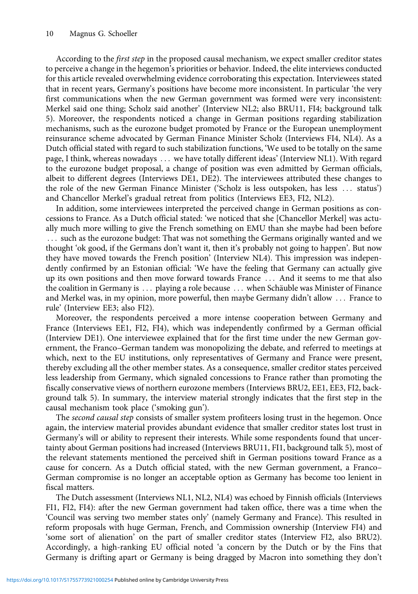According to the *first step* in the proposed causal mechanism, we expect smaller creditor states to perceive a change in the hegemon's priorities or behavior. Indeed, the elite interviews conducted for this article revealed overwhelming evidence corroborating this expectation. Interviewees stated that in recent years, Germany's positions have become more inconsistent. In particular 'the very first communications when the new German government was formed were very inconsistent: Merkel said one thing; Scholz said another' (Interview NL2; also BRU11, FI4; background talk 5). Moreover, the respondents noticed a change in German positions regarding stabilization mechanisms, such as the eurozone budget promoted by France or the European unemployment reinsurance scheme advocated by German Finance Minister Scholz (Interviews FI4, NL4). As a Dutch official stated with regard to such stabilization functions, 'We used to be totally on the same page, I think, whereas nowadays ... we have totally different ideas' (Interview NL1). With regard to the eurozone budget proposal, a change of position was even admitted by German officials, albeit to different degrees (Interviews DE1, DE2). The interviewees attributed these changes to the role of the new German Finance Minister ('Scholz is less outspoken, has less ::: status') and Chancellor Merkel's gradual retreat from politics (Interviews EE3, FI2, NL2).

In addition, some interviewees interpreted the perceived change in German positions as concessions to France. As a Dutch official stated: 'we noticed that she [Chancellor Merkel] was actually much more willing to give the French something on EMU than she maybe had been before ... such as the eurozone budget: That was not something the Germans originally wanted and we thought 'ok good, if the Germans don't want it, then it's probably not going to happen'. But now they have moved towards the French position' (Interview NL4). This impression was independently confirmed by an Estonian official: 'We have the feeling that Germany can actually give up its own positions and then move forward towards France ::: And it seems to me that also the coalition in Germany is ::: playing a role because ::: when Schäuble was Minister of Finance and Merkel was, in my opinion, more powerful, then maybe Germany didn't allow ::: France to rule' (Interview EE3; also FI2).

Moreover, the respondents perceived a more intense cooperation between Germany and France (Interviews EE1, FI2, FI4), which was independently confirmed by a German official (Interview DE1). One interviewee explained that for the first time under the new German government, the Franco–German tandem was monopolizing the debate, and referred to meetings at which, next to the EU institutions, only representatives of Germany and France were present, thereby excluding all the other member states. As a consequence, smaller creditor states perceived less leadership from Germany, which signaled concessions to France rather than promoting the fiscally conservative views of northern eurozone members (Interviews BRU2, EE1, EE3, FI2, background talk 5). In summary, the interview material strongly indicates that the first step in the causal mechanism took place ('smoking gun').

The *second causal step* consists of smaller system profiteers losing trust in the hegemon. Once again, the interview material provides abundant evidence that smaller creditor states lost trust in Germany's will or ability to represent their interests. While some respondents found that uncertainty about German positions had increased (Interviews BRU11, FI1, background talk 5), most of the relevant statements mentioned the perceived shift in German positions toward France as a cause for concern. As a Dutch official stated, with the new German government, a Franco– German compromise is no longer an acceptable option as Germany has become too lenient in fiscal matters.

The Dutch assessment (Interviews NL1, NL2, NL4) was echoed by Finnish officials (Interviews FI1, FI2, FI4): after the new German government had taken office, there was a time when the 'Council was serving two member states only' (namely Germany and France). This resulted in reform proposals with huge German, French, and Commission ownership (Interview FI4) and 'some sort of alienation' on the part of smaller creditor states (Interview FI2, also BRU2). Accordingly, a high-ranking EU official noted 'a concern by the Dutch or by the Fins that Germany is drifting apart or Germany is being dragged by Macron into something they don't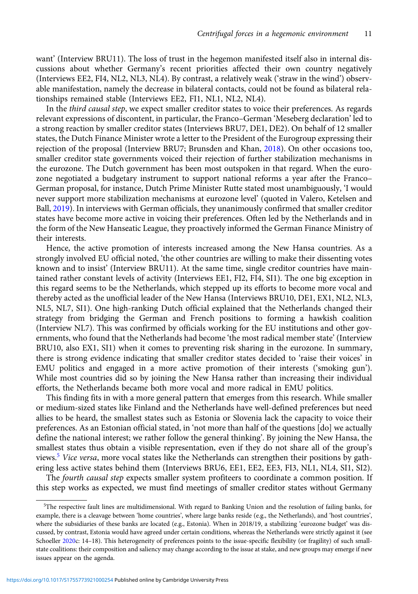want' (Interview BRU11). The loss of trust in the hegemon manifested itself also in internal discussions about whether Germany's recent priorities affected their own country negatively (Interviews EE2, FI4, NL2, NL3, NL4). By contrast, a relatively weak ('straw in the wind') observable manifestation, namely the decrease in bilateral contacts, could not be found as bilateral relationships remained stable (Interviews EE2, FI1, NL1, NL2, NL4).

In the third causal step, we expect smaller creditor states to voice their preferences. As regards relevant expressions of discontent, in particular, the Franco–German 'Meseberg declaration' led to a strong reaction by smaller creditor states (Interviews BRU7, DE1, DE2). On behalf of 12 smaller states, the Dutch Finance Minister wrote a letter to the President of the Eurogroup expressing their rejection of the proposal (Interview BRU7; Brunsden and Khan, [2018](#page-14-0)). On other occasions too, smaller creditor state governments voiced their rejection of further stabilization mechanisms in the eurozone. The Dutch government has been most outspoken in that regard. When the eurozone negotiated a budgetary instrument to support national reforms a year after the Franco– German proposal, for instance, Dutch Prime Minister Rutte stated most unambiguously, 'I would never support more stabilization mechanisms at eurozone level' (quoted in Valero, Ketelsen and Ball, [2019](#page-15-0)). In interviews with German officials, they unanimously confirmed that smaller creditor states have become more active in voicing their preferences. Often led by the Netherlands and in the form of the New Hanseatic League, they proactively informed the German Finance Ministry of their interests.

Hence, the active promotion of interests increased among the New Hansa countries. As a strongly involved EU official noted, 'the other countries are willing to make their dissenting votes known and to insist' (Interview BRU11). At the same time, single creditor countries have maintained rather constant levels of activity (Interviews EE1, FI2, FI4, SI1). The one big exception in this regard seems to be the Netherlands, which stepped up its efforts to become more vocal and thereby acted as the unofficial leader of the New Hansa (Interviews BRU10, DE1, EX1, NL2, NL3, NL5, NL7, SI1). One high-ranking Dutch official explained that the Netherlands changed their strategy from bridging the German and French positions to forming a hawkish coalition (Interview NL7). This was confirmed by officials working for the EU institutions and other governments, who found that the Netherlands had become 'the most radical member state' (Interview BRU10, also EX1, SI1) when it comes to preventing risk sharing in the eurozone. In summary, there is strong evidence indicating that smaller creditor states decided to 'raise their voices' in EMU politics and engaged in a more active promotion of their interests ('smoking gun'). While most countries did so by joining the New Hansa rather than increasing their individual efforts, the Netherlands became both more vocal and more radical in EMU politics.

This finding fits in with a more general pattern that emerges from this research. While smaller or medium-sized states like Finland and the Netherlands have well-defined preferences but need allies to be heard, the smallest states such as Estonia or Slovenia lack the capacity to voice their preferences. As an Estonian official stated, in 'not more than half of the questions [do] we actually define the national interest; we rather follow the general thinking'. By joining the New Hansa, the smallest states thus obtain a visible representation, even if they do not share all of the group's views.<sup>5</sup> Vice versa, more vocal states like the Netherlands can strengthen their positions by gathering less active states behind them (Interviews BRU6, EE1, EE2, EE3, FI3, NL1, NL4, SI1, SI2).

The fourth causal step expects smaller system profiteers to coordinate a common position. If this step works as expected, we must find meetings of smaller creditor states without Germany

<sup>5</sup> The respective fault lines are multidimensional. With regard to Banking Union and the resolution of failing banks, for example, there is a cleavage between 'home countries', where large banks reside (e.g., the Netherlands), and 'host countries', where the subsidiaries of these banks are located (e.g., Estonia). When in 2018/19, a stabilizing 'eurozone budget' was discussed, by contrast, Estonia would have agreed under certain conditions, whereas the Netherlands were strictly against it (see Schoeller [2020](#page-15-0)c: 14-18). This heterogeneity of preferences points to the issue-specific flexibility (or fragility) of such smallstate coalitions: their composition and saliency may change according to the issue at stake, and new groups may emerge if new issues appear on the agenda.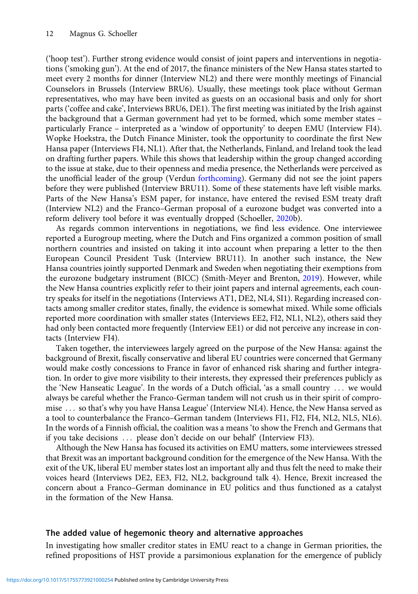('hoop test'). Further strong evidence would consist of joint papers and interventions in negotiations ('smoking gun'). At the end of 2017, the finance ministers of the New Hansa states started to meet every 2 months for dinner (Interview NL2) and there were monthly meetings of Financial Counselors in Brussels (Interview BRU6). Usually, these meetings took place without German representatives, who may have been invited as guests on an occasional basis and only for short parts ('coffee and cake', Interviews BRU6, DE1). The first meeting was initiated by the Irish against the background that a German government had yet to be formed, which some member states – particularly France – interpreted as a 'window of opportunity' to deepen EMU (Interview FI4). Wopke Hoekstra, the Dutch Finance Minister, took the opportunity to coordinate the first New Hansa paper (Interviews FI4, NL1). After that, the Netherlands, Finland, and Ireland took the lead on drafting further papers. While this shows that leadership within the group changed according to the issue at stake, due to their openness and media presence, the Netherlands were perceived as the unofficial leader of the group (Verdun [forthcoming\)](#page-15-0). Germany did not see the joint papers before they were published (Interview BRU11). Some of these statements have left visible marks. Parts of the New Hansa's ESM paper, for instance, have entered the revised ESM treaty draft (Interview NL2) and the Franco–German proposal of a eurozone budget was converted into a reform delivery tool before it was eventually dropped (Schoeller, [2020b](#page-15-0)).

As regards common interventions in negotiations, we find less evidence. One interviewee reported a Eurogroup meeting, where the Dutch and Fins organized a common position of small northern countries and insisted on taking it into account when preparing a letter to the then European Council President Tusk (Interview BRU11). In another such instance, the New Hansa countries jointly supported Denmark and Sweden when negotiating their exemptions from the eurozone budgetary instrument (BICC) (Smith-Meyer and Brenton, [2019\)](#page-15-0). However, while the New Hansa countries explicitly refer to their joint papers and internal agreements, each country speaks for itself in the negotiations (Interviews AT1, DE2, NL4, SI1). Regarding increased contacts among smaller creditor states, finally, the evidence is somewhat mixed. While some officials reported more coordination with smaller states (Interviews EE2, FI2, NL1, NL2), others said they had only been contacted more frequently (Interview EE1) or did not perceive any increase in contacts (Interview FI4).

Taken together, the interviewees largely agreed on the purpose of the New Hansa: against the background of Brexit, fiscally conservative and liberal EU countries were concerned that Germany would make costly concessions to France in favor of enhanced risk sharing and further integration. In order to give more visibility to their interests, they expressed their preferences publicly as the 'New Hanseatic League'. In the words of a Dutch official, 'as a small country ::: we would always be careful whether the Franco-German tandem will not crush us in their spirit of compromise ... so that's why you have Hansa League' (Interview NL4). Hence, the New Hansa served as a tool to counterbalance the Franco–German tandem (Interviews FI1, FI2, FI4, NL2, NL5, NL6). In the words of a Finnish official, the coalition was a means 'to show the French and Germans that if you take decisions ... please don't decide on our behalf (Interview FI3).

Although the New Hansa has focused its activities on EMU matters, some interviewees stressed that Brexit was an important background condition for the emergence of the New Hansa. With the exit of the UK, liberal EU member states lost an important ally and thus felt the need to make their voices heard (Interviews DE2, EE3, FI2, NL2, background talk 4). Hence, Brexit increased the concern about a Franco–German dominance in EU politics and thus functioned as a catalyst in the formation of the New Hansa.

# The added value of hegemonic theory and alternative approaches

In investigating how smaller creditor states in EMU react to a change in German priorities, the refined propositions of HST provide a parsimonious explanation for the emergence of publicly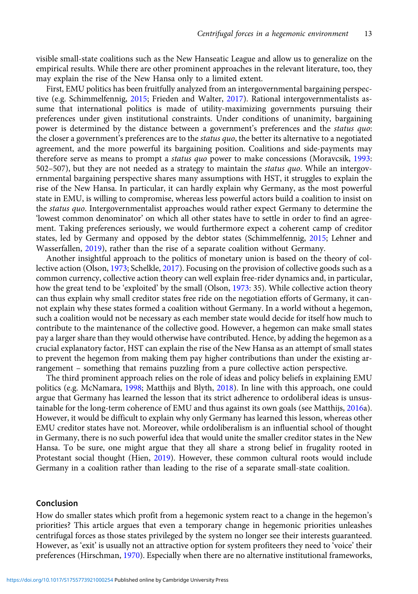visible small-state coalitions such as the New Hanseatic League and allow us to generalize on the empirical results. While there are other prominent approaches in the relevant literature, too, they may explain the rise of the New Hansa only to a limited extent.

First, EMU politics has been fruitfully analyzed from an intergovernmental bargaining perspective (e.g. Schimmelfennig, [2015;](#page-15-0) Frieden and Walter, [2017](#page-14-0)). Rational intergovernmentalists assume that international politics is made of utility-maximizing governments pursuing their preferences under given institutional constraints. Under conditions of unanimity, bargaining power is determined by the distance between a government's preferences and the status quo: the closer a government's preferences are to the status quo, the better its alternative to a negotiated agreement, and the more powerful its bargaining position. Coalitions and side-payments may therefore serve as means to prompt a status quo power to make concessions (Moravcsik, [1993:](#page-14-0) 502–507), but they are not needed as a strategy to maintain the *status quo*. While an intergovernmental bargaining perspective shares many assumptions with HST, it struggles to explain the rise of the New Hansa. In particular, it can hardly explain why Germany, as the most powerful state in EMU, is willing to compromise, whereas less powerful actors build a coalition to insist on the *status quo*. Intergovernmentalist approaches would rather expect Germany to determine the 'lowest common denominator' on which all other states have to settle in order to find an agreement. Taking preferences seriously, we would furthermore expect a coherent camp of creditor states, led by Germany and opposed by the debtor states (Schimmelfennig, [2015;](#page-15-0) Lehner and Wasserfallen, [2019](#page-14-0)), rather than the rise of a separate coalition without Germany.

Another insightful approach to the politics of monetary union is based on the theory of collective action (Olson, [1973](#page-14-0); Schelkle, [2017\)](#page-15-0). Focusing on the provision of collective goods such as a common currency, collective action theory can well explain free-rider dynamics and, in particular, how the great tend to be 'exploited' by the small (Olson, [1973](#page-14-0): 35). While collective action theory can thus explain why small creditor states free ride on the negotiation efforts of Germany, it cannot explain why these states formed a coalition without Germany. In a world without a hegemon, such a coalition would not be necessary as each member state would decide for itself how much to contribute to the maintenance of the collective good. However, a hegemon can make small states pay a larger share than they would otherwise have contributed. Hence, by adding the hegemon as a crucial explanatory factor, HST can explain the rise of the New Hansa as an attempt of small states to prevent the hegemon from making them pay higher contributions than under the existing arrangement – something that remains puzzling from a pure collective action perspective.

The third prominent approach relies on the role of ideas and policy beliefs in explaining EMU politics (e.g. McNamara, [1998](#page-14-0); Matthijs and Blyth, [2018\)](#page-14-0). In line with this approach, one could argue that Germany has learned the lesson that its strict adherence to ordoliberal ideas is unsustainable for the long-term coherence of EMU and thus against its own goals (see Matthijs, [2016a](#page-14-0)). However, it would be difficult to explain why only Germany has learned this lesson, whereas other EMU creditor states have not. Moreover, while ordoliberalism is an influential school of thought in Germany, there is no such powerful idea that would unite the smaller creditor states in the New Hansa. To be sure, one might argue that they all share a strong belief in frugality rooted in Protestant social thought (Hien, [2019](#page-14-0)). However, these common cultural roots would include Germany in a coalition rather than leading to the rise of a separate small-state coalition.

# Conclusion

How do smaller states which profit from a hegemonic system react to a change in the hegemon's priorities? This article argues that even a temporary change in hegemonic priorities unleashes centrifugal forces as those states privileged by the system no longer see their interests guaranteed. However, as 'exit' is usually not an attractive option for system profiteers they need to 'voice' their preferences (Hirschman, [1970](#page-14-0)). Especially when there are no alternative institutional frameworks,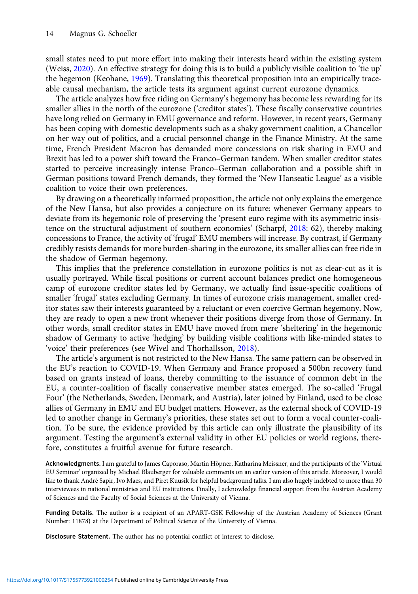small states need to put more effort into making their interests heard within the existing system (Weiss, [2020](#page-15-0)). An effective strategy for doing this is to build a publicly visible coalition to 'tie up' the hegemon (Keohane, [1969](#page-14-0)). Translating this theoretical proposition into an empirically traceable causal mechanism, the article tests its argument against current eurozone dynamics.

The article analyzes how free riding on Germany's hegemony has become less rewarding for its smaller allies in the north of the eurozone ('creditor states'). These fiscally conservative countries have long relied on Germany in EMU governance and reform. However, in recent years, Germany has been coping with domestic developments such as a shaky government coalition, a Chancellor on her way out of politics, and a crucial personnel change in the Finance Ministry. At the same time, French President Macron has demanded more concessions on risk sharing in EMU and Brexit has led to a power shift toward the Franco–German tandem. When smaller creditor states started to perceive increasingly intense Franco–German collaboration and a possible shift in German positions toward French demands, they formed the 'New Hanseatic League' as a visible coalition to voice their own preferences.

By drawing on a theoretically informed proposition, the article not only explains the emergence of the New Hansa, but also provides a conjecture on its future: whenever Germany appears to deviate from its hegemonic role of preserving the 'present euro regime with its asymmetric insistence on the structural adjustment of southern economies' (Scharpf, [2018](#page-15-0): 62), thereby making concessions to France, the activity of 'frugal' EMU members will increase. By contrast, if Germany credibly resists demands for more burden-sharing in the eurozone, its smaller allies can free ride in the shadow of German hegemony.

This implies that the preference constellation in eurozone politics is not as clear-cut as it is usually portrayed. While fiscal positions or current account balances predict one homogeneous camp of eurozone creditor states led by Germany, we actually find issue-specific coalitions of smaller 'frugal' states excluding Germany. In times of eurozone crisis management, smaller creditor states saw their interests guaranteed by a reluctant or even coercive German hegemony. Now, they are ready to open a new front whenever their positions diverge from those of Germany. In other words, small creditor states in EMU have moved from mere 'sheltering' in the hegemonic shadow of Germany to active 'hedging' by building visible coalitions with like-minded states to 'voice' their preferences (see Wivel and Thorhallsson, [2018](#page-15-0)).

The article's argument is not restricted to the New Hansa. The same pattern can be observed in the EU's reaction to COVID-19. When Germany and France proposed a 500bn recovery fund based on grants instead of loans, thereby committing to the issuance of common debt in the EU, a counter-coalition of fiscally conservative member states emerged. The so-called 'Frugal Four' (the Netherlands, Sweden, Denmark, and Austria), later joined by Finland, used to be close allies of Germany in EMU and EU budget matters. However, as the external shock of COVID-19 led to another change in Germany's priorities, these states set out to form a vocal counter-coalition. To be sure, the evidence provided by this article can only illustrate the plausibility of its argument. Testing the argument's external validity in other EU policies or world regions, therefore, constitutes a fruitful avenue for future research.

Acknowledgments. I am grateful to James Caporaso, Martin Höpner, Katharina Meissner, and the participants of the 'Virtual EU Seminar' organized by Michael Blauberger for valuable comments on an earlier version of this article. Moreover, I would like to thank André Sapir, Ivo Maes, and Piret Kuusik for helpful background talks. I am also hugely indebted to more than 30 interviewees in national ministries and EU institutions. Finally, I acknowledge financial support from the Austrian Academy of Sciences and the Faculty of Social Sciences at the University of Vienna.

Funding Details. The author is a recipient of an APART-GSK Fellowship of the Austrian Academy of Sciences (Grant Number: 11878) at the Department of Political Science of the University of Vienna.

Disclosure Statement. The author has no potential conflict of interest to disclose.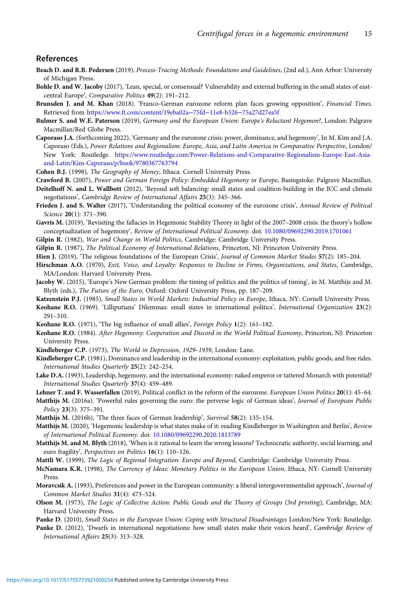#### <span id="page-14-0"></span>References

- Beach D. and R.B. Pedersen (2019), Process-Tracing Methods: Foundations and Guidelines, (2nd ed.), Ann Arbor: University of Michigan Press.
- Bohle D. and W. Jacoby (2017), 'Lean, special, or consensual? Vulnerability and external buffering in the small states of eastcentral Europe', Comparative Politics 49(2): 191–212.
- Brunsden J. and M. Khan (2018). 'Franco-German eurozone reform plan faces growing opposition', Financial Times. Retrieved from [https://www.ft.com/content/19eba02a](https://www.ft.com/content/19eba02a75fd11e8-b32675a27d27ea5f)−75fd−11e8-b326−75a27d27ea5f
- Bulmer S. and W.E. Paterson (2019), Germany and the European Union: Europe's Reluctant Hegemon?, London: Palgrave Macmillan/Red Globe Press.
- Caporaso J.A. (forthcoming 2022), 'Germany and the eurozone crisis: power, dominance, and hegemony', In M. Kim and J.A. Caporaso (Eds.), Power Relations and Regionalism: Europe, Asia, and Latin America in Comparative Perspective, London/ New York: Routledge. [https://www.routledge.com/Power-Relations-and-Comparative-Regionalism-Europe-East-Asia](https://www.routledge.com/Power-Relations-and-Comparative-Regionalism-Europe-East-Asia-and-Latin/Kim-Caporaso/p/book/9780367763794)[and-Latin/Kim-Caporaso/p/book/9780367763794](https://www.routledge.com/Power-Relations-and-Comparative-Regionalism-Europe-East-Asia-and-Latin/Kim-Caporaso/p/book/9780367763794)
- Cohen B.J. (1998), The Geography of Money, Ithaca: Cornell University Press.
- Crawford B. (2007), Power and German Foreign Policy: Embedded Hegemony in Europe, Basingstoke: Palgrave Macmillan.
- Deitelhoff N. and L. Wallbott (2012), 'Beyond soft balancing: small states and coalition-building in the ICC and climate negotiations', Cambridge Review of International Affairs 25(3): 345–366.
- Frieden J. and S. Walter (2017), 'Understanding the political economy of the eurozone crisis', Annual Review of Political Science 20(1): 371–390.
- Gavris M. (2019), 'Revisiting the fallacies in Hegemonic Stability Theory in light of the 2007–2008 crisis: the theory's hollow conceptualization of hegemony', Review of International Political Economy. doi: [10.1080/09692290.2019.1701061](https://doi.org/10.1080/09692290.2019.1701061)
- Gilpin R. (1982), War and Change in World Politics, Cambridge: Cambridge University Press.
- Gilpin R. (1987), The Political Economy of International Relations, Princeton, NJ: Princeton University Press.
- Hien J. (2019), 'The religious foundations of the European Crisis', Journal of Common Market Studes 57(2): 185-204.
- Hirschman A.O. (1970), Exit, Voice, and Loyalty: Responses to Decline in Firms, Organizations, and States, Cambridge, MA/London: Harvard University Press.
- Jacoby W. (2015), 'Europe's New German problem: the timing of politics and the politics of timing', in M. Matthijs and M. Blyth (eds.), The Future of the Euro, Oxford: Oxford University Press, pp. 187–209.
- Katzenstein P.J. (1985), Small States in World Markets: Industrial Policy in Europe, Ithaca, NY: Cornell University Press.
- Keohane R.O. (1969). 'Lilliputians' Dilemmas: small states in international politics', International Organization 23(2): 291–310.
- Keohane R.O. (1971), 'The big influence of small allies', Foreign Policy 1(2): 161-182.
- Keohane R.O. (1984). After Hegemony: Cooperation and Discord in the World Political Economy, Princeton, NJ: Princeton University Press.
- Kindleberger C.P. (1973), The World in Depression, 1929–1939, London: Lane.
- Kindleberger C.P. (1981), Dominance and leadership in the international economy: exploitation, public goods, and free rides. International Studies Quarterly 25(2): 242–254.
- Lake D.A. (1993), Leadership, hegemony, and the international economy: naked emperor or tattered Monarch with potential? International Studies Quarterly 37(4): 459–489.
- Lehner T. and F. Wasserfallen (2019), Political conflict in the reform of the eurozone. European Union Politics 20(1): 45–64.
- Matthijs M. (2016a). 'Powerful rules governing the euro: the perverse logic of German ideas', Journal of European Public Policy 23(3): 375–391.
- Matthijs M. (2016b), 'The three faces of German leadership', Survival 58(2): 135–154.
- Matthijs M. (2020), 'Hegemonic leadership is what states make of it: reading Kindleberger in Washington and Berlin', Review of International Political Economy. doi: [10.1080/09692290.2020.1813789](https://doi.org/10.1080/09692290.2020.1813789)
- Matthijs M. and M. Blyth (2018), 'When is it rational to learn the wrong lessons? Technocratic authority, social learning, and euro fragility', Perspectives on Politics 16(1): 110–126.
- Mattli W. (1999), The Logic of Regional Integration: Europe and Beyond, Cambridge: Cambridge University Press.
- McNamara K.R. (1998), The Currency of Ideas: Monetary Politics in the European Union, Ithaca, NY: Cornell University Press.
- Moravcsik A. (1993), Preferences and power in the European community: a liberal intergovernmentalist approach', Journal of Common Market Studies 31(4): 473–524.
- Olson M. (1973), The Logic of Collective Action: Public Goods and the Theory of Groups (3rd printing), Cambridge, MA: Harvard University Press.
- Panke D. (2010), Small States in the European Union: Coping with Structural Disadvantages London/New York: Routledge.
- Panke D. (2012), 'Dwarfs in international negotiations: how small states make their voices heard', Cambridge Review of International Affairs 25(3): 313–328.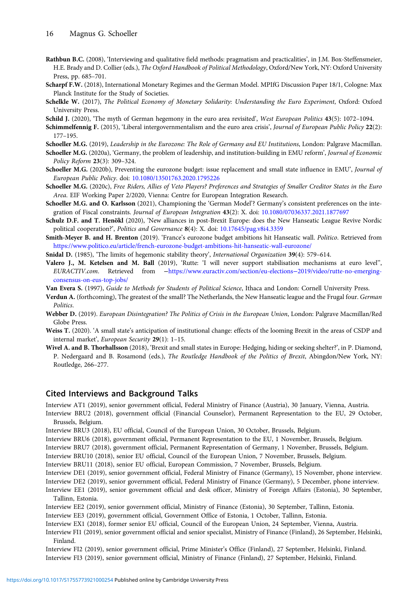- <span id="page-15-0"></span>Rathbun B.C. (2008), 'Interviewing and qualitative field methods: pragmatism and practicalities', in J.M. Box-Steffensmeier, H.E. Brady and D. Collier (eds.), The Oxford Handbook of Political Methodology, Oxford/New York, NY: Oxford University Press, pp. 685–701.
- Scharpf F.W. (2018), International Monetary Regimes and the German Model. MPIfG Discussion Paper 18/1, Cologne: Max Planck Institute for the Study of Societies.
- Schelkle W. (2017), The Political Economy of Monetary Solidarity: Understanding the Euro Experiment, Oxford: Oxford University Press.
- Schild J. (2020), 'The myth of German hegemony in the euro area revisited', West European Politics 43(5): 1072-1094.
- Schimmelfennig F. (2015), 'Liberal intergovernmentalism and the euro area crisis', Journal of European Public Policy 22(2): 177–195.

Schoeller M.G. (2019), Leadership in the Eurozone: The Role of Germany and EU Institutions, London: Palgrave Macmillan.

- Schoeller M.G. (2020a), 'Germany, the problem of leadership, and institution-building in EMU reform', Journal of Economic Policy Reform 23(3): 309–324.
- Schoeller M.G. (2020b), Preventing the eurozone budget: issue replacement and small state influence in EMU', Journal of European Public Policy. doi: [10.1080/13501763.2020.1795226](https://doi.org/10.1080/13501763.2020.1795226)
- Schoeller M.G. (2020c), Free Riders, Allies of Veto Players? Preferences and Strategies of Smaller Creditor States in the Euro Area. EIF Working Paper 2/2020, Vienna: Centre for European Integration Research.
- Schoeller M.G. and O. Karlsson (2021), Championing the 'German Model'? Germany's consistent preferences on the inte-gration of Fiscal constraints. Journal of European Integration 43(2): X. doi: [10.1080/07036337.2021.1877697](https://doi.org/10.1080/07036337.2021.1877697)
- Schulz D.F. and T. Henökl (2020), 'New alliances in post-Brexit Europe: does the New Hanseatic League Revive Nordic political cooperation?', Politics and Governance 8(4): X. doi: [10.17645/pag.v8i4.3359](https://doi.org/10.17645/pag.v8i4.3359)
- Smith-Meyer B. and H. Brenton (2019). 'France's eurozone budget ambitions hit Hanseatic wall. Politico. Retrieved from <https://www.politico.eu/article/french-eurozone-budget-ambitions-hit-hanseatic-wall-eurozone/>
- Snidal D. (1985), 'The limits of hegemonic stability theory', International Organization 39(4): 579–614.
- Valero J., M. Ketelsen and M. Ball (2019), 'Rutte: 'I will never support stabilisation mechanisms at euro level'', EURACTIV.com. Retrieved from −[https://www.euractiv.com/section/eu-elections](https://www.euractiv.com/section/eu-elections2019/video/rutte-no-emerging-consensus-on-eus-top-jobs/)−2019/video/rutte-no-emerging[consensus-on-eus-top-jobs/](https://www.euractiv.com/section/eu-elections2019/video/rutte-no-emerging-consensus-on-eus-top-jobs/)

Van Evera S. (1997), Guide to Methods for Students of Political Science, Ithaca and London: Cornell University Press.

- Verdun A. (forthcoming), The greatest of the small? The Netherlands, the New Hanseatic league and the Frugal four. German Politics.
- Webber D. (2019). European Disintegration? The Politics of Crisis in the European Union, London: Palgrave Macmillan/Red Globe Press.
- Weiss T. (2020). 'A small state's anticipation of institutional change: effects of the looming Brexit in the areas of CSDP and internal market', European Security 29(1): 1–15.
- Wivel A. and B. Thorhallsson (2018), 'Brexit and small states in Europe: Hedging, hiding or seeking shelter?', in P. Diamond, P. Nedergaard and B. Rosamond (eds.), The Routledge Handbook of the Politics of Brexit, Abingdon/New York, NY: Routledge, 266–277.

### Cited Interviews and Background Talks

Interview AT1 (2019), senior government official, Federal Ministry of Finance (Austria), 30 January, Vienna, Austria.

Interview BRU2 (2018), government official (Financial Counselor), Permanent Representation to the EU, 29 October, Brussels, Belgium.

Interview BRU3 (2018), EU official, Council of the European Union, 30 October, Brussels, Belgium.

Interview BRU6 (2018), government official, Permanent Representation to the EU, 1 November, Brussels, Belgium.

Interview BRU7 (2018), government official, Permanent Representation of Germany, 1 November, Brussels, Belgium.

Interview BRU10 (2018), senior EU official, Council of the European Union, 7 November, Brussels, Belgium.

Interview BRU11 (2018), senior EU official, European Commission, 7 November, Brussels, Belgium.

Interview DE1 (2019), senior government official, Federal Ministry of Finance (Germany), 15 November, phone interview.

Interview DE2 (2019), senior government official, Federal Ministry of Finance (Germany), 5 December, phone interview. Interview EE1 (2019), senior government official and desk officer, Ministry of Foreign Affairs (Estonia), 30 September,

Tallinn, Estonia.

Interview EE2 (2019), senior government official, Ministry of Finance (Estonia), 30 September, Tallinn, Estonia.

Interview EE3 (2019), government official, Government Office of Estonia, 1 October, Tallinn, Estonia.

Interview EX1 (2018), former senior EU official, Council of the European Union, 24 September, Vienna, Austria.

Interview FI1 (2019), senior government official and senior specialist, Ministry of Finance (Finland), 26 September, Helsinki, Finland.

Interview FI2 (2019), senior government official, Prime Minister's Office (Finland), 27 September, Helsinki, Finland. Interview FI3 (2019), senior government official, Ministry of Finance (Finland), 27 September, Helsinki, Finland.